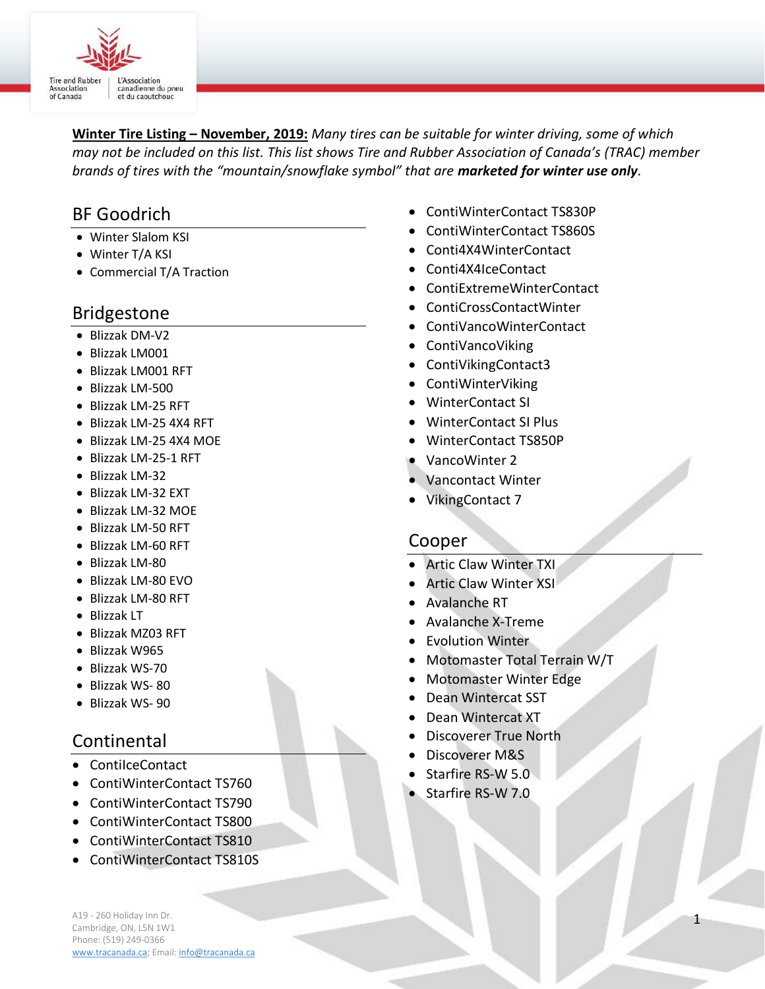

Winter Tire Listing - November, 2019: Many tires can be suitable for winter driving, some of which may not be included on this list. This list shows Tire and Rubber Association of Canada's (TRAC) member brands of tires with the "mountain/snowflake symbol" that are marketed for winter use only.

# BF Goodrich

- Winter Slalom KSI
- Winter T/A KSI
- Commercial T/A Traction

## Bridgestone

- Blizzak DM-V2
- Blizzak LM001
- Blizzak LM001 RFT
- Blizzak LM-500
- Blizzak LM-25 RFT
- Blizzak LM-25 4X4 RFT
- Blizzak LM-25 4X4 MOE
- Blizzak LM-25-1 RFT
- Blizzak LM-32
- Blizzak LM-32 EXT
- Blizzak LM-32 MOE
- Blizzak LM-50 RFT
- Blizzak LM-60 RFT
- Blizzak LM-80
- Blizzak LM-80 EVO
- Blizzak LM-80 RFT
- Blizzak LT
- Blizzak MZ03 RFT
- Blizzak W965
- Blizzak WS-70
- Blizzak WS- 80
- Blizzak WS- 90

# Continental

- ContiIceContact
- ContiWinterContact TS760
- ContiWinterContact TS790
- ContiWinterContact TS800
- ContiWinterContact TS810
- ContiWinterContact TS810S
- ContiWinterContact TS830P
- ContiWinterContact TS860S
- Conti4X4WinterContact
- Conti4X4IceContact
- ContiExtremeWinterContact
- ContiCrossContactWinter
	- ContiVancoWinterContact
- ContiVancoViking
- ContiVikingContact3
- ContiWinterViking
- WinterContact SI
- WinterContact SI Plus
- WinterContact TS850P
- VancoWinter 2
- Vancontact Winter
- VikingContact 7

## Cooper

- Artic Claw Winter TXI
- Artic Claw Winter XSI
- Avalanche RT
- Avalanche X-Treme
- Evolution Winter
- Motomaster Total Terrain W/T
- Motomaster Winter Edge
- Dean Wintercat SST
- Dean Wintercat XT
- Discoverer True North
- Discoverer M&S
- Starfire RS-W 5.0
- Starfire RS-W 7.0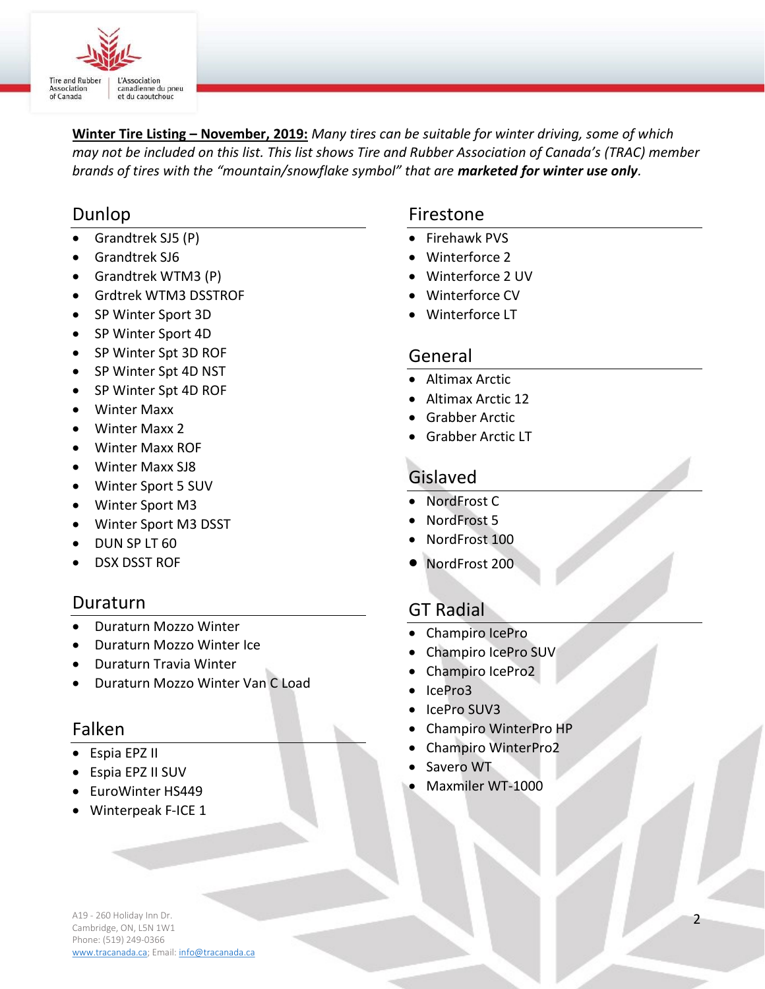

Winter Tire Listing – November, 2019: Many tires can be suitable for winter driving, some of which may not be included on this list. This list shows Tire and Rubber Association of Canada's (TRAC) member brands of tires with the "mountain/snowflake symbol" that are marketed for winter use only.

## Dunlop

- Grandtrek SJ5 (P)
- Grandtrek SJ6
- Grandtrek WTM3 (P)
- Grdtrek WTM3 DSSTROF
- SP Winter Sport 3D
- SP Winter Sport 4D
- SP Winter Spt 3D ROF
- SP Winter Spt 4D NST
- SP Winter Spt 4D ROF
- Winter Maxx
- Winter Maxx 2
- Winter Maxx ROF
- Winter Maxx SJ8
- Winter Sport 5 SUV
- Winter Sport M3
- Winter Sport M3 DSST
- DUN SP LT 60
- DSX DSST ROF

## Duraturn

- Duraturn Mozzo Winter
- Duraturn Mozzo Winter Ice
- Duraturn Travia Winter
- Duraturn Mozzo Winter Van C Load

## Falken

- Espia EPZ II
- Espia EPZ II SUV
- EuroWinter HS449
- Winterpeak F-ICE 1

# Firestone

- Firehawk PVS
- Winterforce 2
- Winterforce 2 UV
- Winterforce CV
- Winterforce LT

## General

- Altimax Arctic
- Altimax Arctic 12
- Grabber Arctic
- Grabber Arctic LT

# Gislaved

- NordFrost C
- NordFrost 5
- NordFrost 100
- NordFrost 200

# GT Radial

- Champiro IcePro
- Champiro IcePro SUV
- Champiro IcePro2
- IcePro3
- IcePro SUV3
- Champiro WinterPro HP
- Champiro WinterPro2
- Savero WT
- Maxmiler WT-1000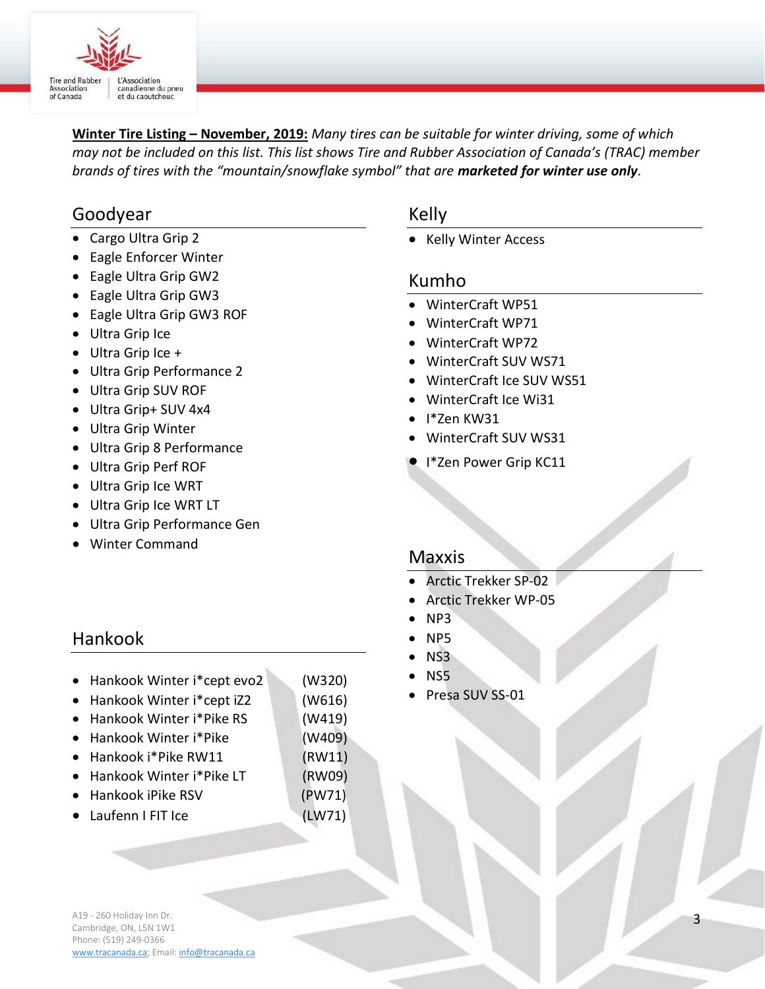

Winter Tire Listing – November, 2019: Many tires can be suitable for winter driving, some of which may not be included on this list. This list shows Tire and Rubber Association of Canada's (TRAC) member brands of tires with the "mountain/snowflake symbol" that are marketed for winter use only.

## Goodyear

- Cargo Ultra Grip 2
- Eagle Enforcer Winter
- Eagle Ultra Grip GW2
- Eagle Ultra Grip GW3
- Eagle Ultra Grip GW3 ROF
- Ultra Grip Ice
- Ultra Grip Ice +
- Ultra Grip Performance 2
- Ultra Grip SUV ROF
- Ultra Grip+ SUV 4x4
- Ultra Grip Winter
- Ultra Grip 8 Performance
- Ultra Grip Perf ROF
- Ultra Grip Ice WRT
- Ultra Grip Ice WRT LT
- Ultra Grip Performance Gen
- Winter Command

### Kelly

• Kelly Winter Access

#### Kumho

- WinterCraft WP51
- WinterCraft WP71
- WinterCraft WP72
- WinterCraft SUV WS71
- WinterCraft Ice SUV WS51
- WinterCraft Ice Wi31
- $\bullet$  I<sup>\*</sup>Zen KW31
- WinterCraft SUV WS31
- **I** I\*Zen Power Grip KC11

#### Maxxis

- Arctic Trekker SP-02
- Arctic Trekker WP-05
- NP3
- NP5
- NS3
- NS5
- Presa SUV SS-01

## Hankook

- Hankook Winter i\*cept evo2 (W320)
- Hankook Winter i\*cept iZ2 (W616)
- Hankook Winter i\*Pike RS (W419)
- Hankook Winter i\*Pike (W409)
- Hankook i\*Pike RW11 (RW11)
- Hankook Winter i\*Pike LT (RW09)
- Hankook iPike RSV (PW71)
- Laufenn I FIT Ice (LW71)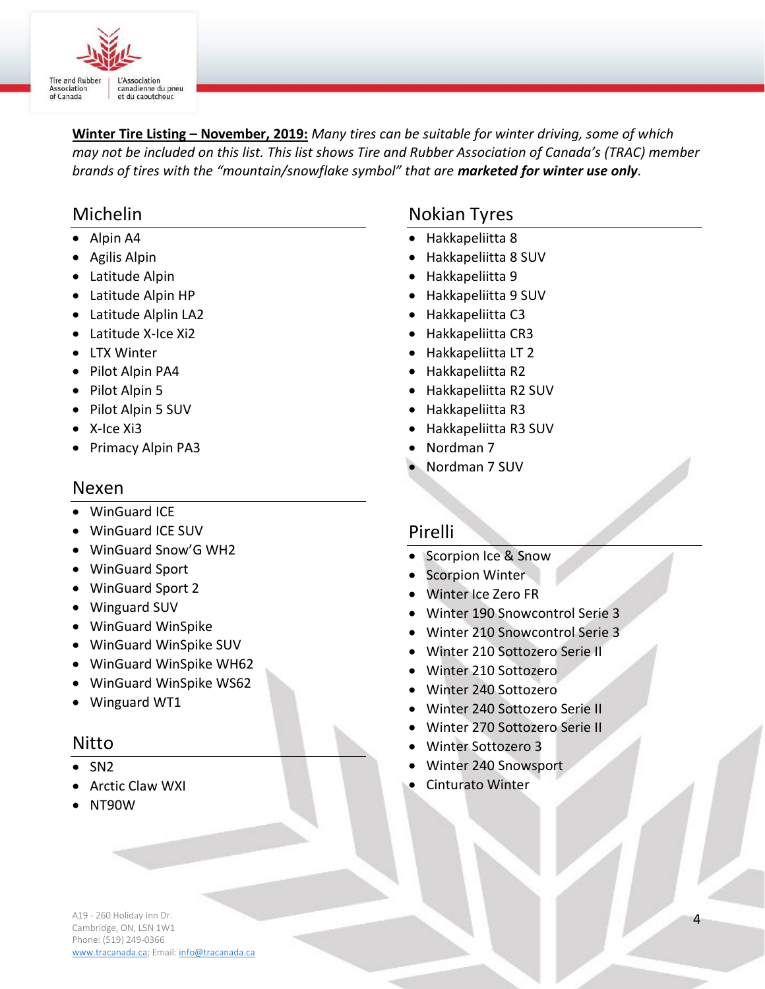

Winter Tire Listing – November, 2019: Many tires can be suitable for winter driving, some of which may not be included on this list. This list shows Tire and Rubber Association of Canada's (TRAC) member brands of tires with the "mountain/snowflake symbol" that are marketed for winter use only.

# Michelin

- Alpin A4
- Agilis Alpin
- Latitude Alpin
- Latitude Alpin HP
- Latitude Alplin LA2
- Latitude X-Ice Xi2
- LTX Winter
- Pilot Alpin PA4
- Pilot Alpin 5
- Pilot Alpin 5 SUV
- X-Ice Xi3
- Primacy Alpin PA3

#### Nexen

- WinGuard ICE
- WinGuard ICE SUV
- WinGuard Snow'G WH2
- WinGuard Sport
- WinGuard Sport 2
- Winguard SUV
- WinGuard WinSpike
- WinGuard WinSpike SUV
- WinGuard WinSpike WH62
- WinGuard WinSpike WS62
- Winguard WT1

#### Nitto

- $\bullet$  SN2
- Arctic Claw WXI
- NT90W

## Nokian Tyres

- Hakkapeliitta 8
- Hakkapeliitta 8 SUV
- Hakkapeliitta 9
- Hakkapeliitta 9 SUV
- Hakkapeliitta C3
- Hakkapeliitta CR3
- Hakkapeliitta LT 2
- Hakkapeliitta R2
- Hakkapeliitta R2 SUV
- Hakkapeliitta R3
- Hakkapeliitta R3 SUV
- Nordman 7
- Nordman 7 SUV

#### Pirelli

- Scorpion Ice & Snow
- Scorpion Winter
- Winter Ice Zero FR
- Winter 190 Snowcontrol Serie 3
- Winter 210 Snowcontrol Serie 3
- Winter 210 Sottozero Serie II
- Winter 210 Sottozero
- Winter 240 Sottozero
- Winter 240 Sottozero Serie II
- Winter 270 Sottozero Serie II
- Winter Sottozero 3
- Winter 240 Snowsport
- Cinturato Winter